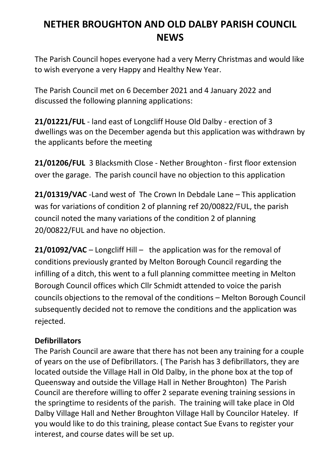# **NETHER BROUGHTON AND OLD DALBY PARISH COUNCIL NEWS**

The Parish Council hopes everyone had a very Merry Christmas and would like to wish everyone a very Happy and Healthy New Year.

The Parish Council met on 6 December 2021 and 4 January 2022 and discussed the following planning applications:

**21/01221/FUL** - land east of Longcliff House Old Dalby - erection of 3 dwellings was on the December agenda but this application was withdrawn by the applicants before the meeting

**21/01206/FUL** 3 Blacksmith Close - Nether Broughton - first floor extension over the garage. The parish council have no objection to this application

**21/01319/VAC** -Land west of The Crown In Debdale Lane – This application was for variations of condition 2 of planning ref 20/00822/FUL, the parish council noted the many variations of the condition 2 of planning 20/00822/FUL and have no objection.

**21/01092/VAC** – Longcliff Hill – the application was for the removal of conditions previously granted by Melton Borough Council regarding the infilling of a ditch, this went to a full planning committee meeting in Melton Borough Council offices which Cllr Schmidt attended to voice the parish councils objections to the removal of the conditions – Melton Borough Council subsequently decided not to remove the conditions and the application was rejected.

# **Defibrillators**

The Parish Council are aware that there has not been any training for a couple of years on the use of Defibrillators. ( The Parish has 3 defibrillators, they are located outside the Village Hall in Old Dalby, in the phone box at the top of Queensway and outside the Village Hall in Nether Broughton) The Parish Council are therefore willing to offer 2 separate evening training sessions in the springtime to residents of the parish. The training will take place in Old Dalby Village Hall and Nether Broughton Village Hall by Councilor Hateley. If you would like to do this training, please contact Sue Evans to register your interest, and course dates will be set up.